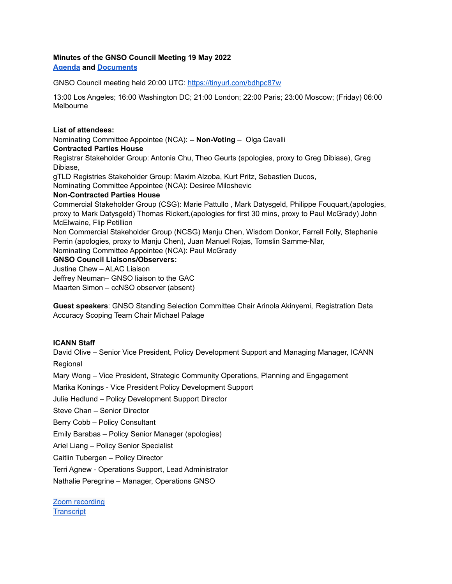## **Minutes of the GNSO Council Meeting 19 May 2022**

**[Agenda](https://community.icann.org/display/gnsocouncilmeetings/Final+Proposed+Agenda+2022-05-19) and [Documents](https://community.icann.org/display/gnsocouncilmeetings/Documents+2022-05-19)**

GNSO Council meeting held 20:00 UTC: <https://tinyurl.com/bdhpc87w>

13:00 Los Angeles; 16:00 Washington DC; 21:00 London; 22:00 Paris; 23:00 Moscow; (Friday) 06:00 Melbourne

#### **List of attendees:**

Nominating Committee Appointee (NCA): **– Non-Voting** – Olga Cavalli

### **Contracted Parties House**

Registrar Stakeholder Group: Antonia Chu, Theo Geurts (apologies, proxy to Greg Dibiase), Greg Dibiase,

gTLD Registries Stakeholder Group: Maxim Alzoba, Kurt Pritz, Sebastien Ducos,

Nominating Committee Appointee (NCA): Desiree Miloshevic

#### **Non-Contracted Parties House**

Commercial Stakeholder Group (CSG): Marie Pattullo , Mark Datysgeld, Philippe Fouquart,(apologies, proxy to Mark Datysgeld) Thomas Rickert,(apologies for first 30 mins, proxy to Paul McGrady) John McElwaine, Flip Petillion

Non Commercial Stakeholder Group (NCSG) Manju Chen, Wisdom Donkor, Farrell Folly, Stephanie Perrin (apologies, proxy to Manju Chen), Juan Manuel Rojas, Tomslin Samme-Nlar,

Nominating Committee Appointee (NCA): Paul McGrady

# **GNSO Council Liaisons/Observers:**

Justine Chew – ALAC Liaison

Jeffrey Neuman– GNSO liaison to the GAC Maarten Simon – ccNSO observer (absent)

**Guest speakers**: GNSO Standing Selection Committee Chair Arinola Akinyemi, Registration Data Accuracy Scoping Team Chair Michael Palage

### **ICANN Staff**

David Olive – Senior Vice President, Policy Development Support and Managing Manager, ICANN **Regional** 

Mary Wong – Vice President, Strategic Community Operations, Planning and Engagement

Marika Konings - Vice President Policy Development Support

Julie Hedlund – Policy Development Support Director

Steve Chan – Senior Director

Berry Cobb – Policy Consultant

Emily Barabas – Policy Senior Manager (apologies)

Ariel Liang – Policy Senior Specialist

Caitlin Tubergen – Policy Director

Terri Agnew - Operations Support, Lead Administrator

Nathalie Peregrine – Manager, Operations GNSO

Zoom [recording](https://urldefense.com/v3/__https://icann.zoom.us/rec/share/eus-RD376MOlFdGnF4pdqNHRUQR9gMUhPpBIwvlByoKsQYQPYzTgi9AJIkLASsFi.ZIix9Zfio03ew6ao?startTime=1652990497000__;!!PtGJab4!6qJq5Msf9GEeV5L-tS2mjhJAmiDcOo6jghUy057GO0zRuIm6Hin3hJ-jpcTk1LbarTndPej3v-0deEHMtVMAd7pdfRxrg1M$) **[Transcript](https://gnso.icann.org/sites/default/files/policy/2022/transcript/transcript-gnso-council-19may22-en.pdf)**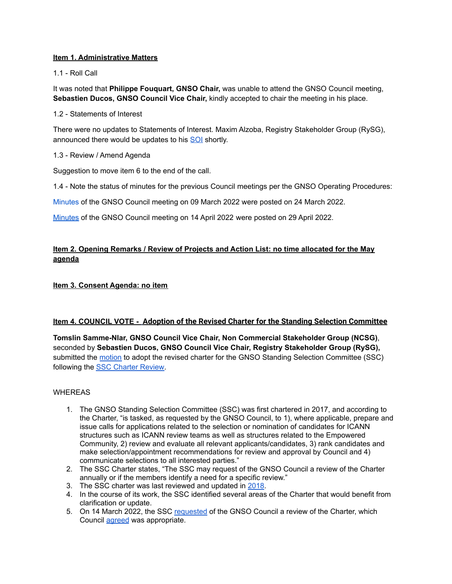# **Item 1. Administrative Matters**

1.1 - Roll Call

It was noted that **Philippe Fouquart, GNSO Chair,** was unable to attend the GNSO Council meeting, **Sebastien Ducos, GNSO Council Vice Chair,** kindly accepted to chair the meeting in his place.

1.2 - Statements of Interest

There were no updates to Statements of Interest. Maxim Alzoba, Registry Stakeholder Group (RySG), announced there would be updates to his [SOI](https://community.icann.org/display/gnsosoi/Maxim+Alzoba+SOI) shortly.

## 1.3 - Review / Amend Agenda

Suggestion to move item 6 to the end of the call.

1.4 - Note the status of minutes for the previous Council meetings per the GNSO Operating Procedures:

[Minutes](https://gnso.icann.org/sites/default/files/policy/2022/minutes/minutes-gnso-council-09mar22-en.pdf) of the GNSO Council meeting on 09 March 2022 were posted on 24 March 2022.

[Minutes](https://gnso.icann.org/sites/default/files/policy/2022/minutes/minutes-gnso-council-14apr22-en.pdf) of the GNSO Council meeting on 14 April 2022 were posted on 29 April 2022.

# **Item 2. Opening Remarks / Review of Projects and Action List: no time allocated for the May agenda**

## **Item 3. Consent Agenda: no item**

# **Item 4. COUNCIL VOTE - Adoption of the Revised Charter for the Standing Selection Committee**

**Tomslin Samme-Nlar, GNSO Council Vice Chair, Non Commercial Stakeholder Group (NCSG)**, seconded by **Sebastien Ducos, GNSO Council Vice Chair, Registry Stakeholder Group (RySG),** submitted the [motion](https://community.icann.org/display/gnsocouncilmeetings/Motions+2022-05-19) to adopt the revised charter for the GNSO Standing Selection Committee (SSC) following the SSC [Charter](https://gnso.icann.org/sites/default/files/policy/2022/correspondence/samme-nlar-to-gnso-council-06may22-en.pdf) Review.

### **WHEREAS**

- 1. The GNSO Standing Selection Committee (SSC) was first chartered in 2017, and according to the Charter, "is tasked, as requested by the GNSO Council, to 1), where applicable, prepare and issue calls for applications related to the selection or nomination of candidates for ICANN structures such as ICANN review teams as well as structures related to the Empowered Community, 2) review and evaluate all relevant applicants/candidates, 3) rank candidates and make selection/appointment recommendations for review and approval by Council and 4) communicate selections to all interested parties."
- 2. The SSC Charter states, "The SSC may request of the GNSO Council a review of the Charter annually or if the members identify a need for a specific review."
- 3. The SSC charter was last reviewed and updated in [2018](https://gnso.icann.org/en/council/resolutions/1999-2019#201805).
- 4. In the course of its work, the SSC identified several areas of the Charter that would benefit from clarification or update.
- 5. On 14 March 2022, the SSC [requested](https://mm.icann.org/pipermail/council/2022-March/025523.html) of the GNSO Council a review of the Charter, which Council [agreed](https://mm.icann.org/pipermail/council/2022-March/025539.html) was appropriate.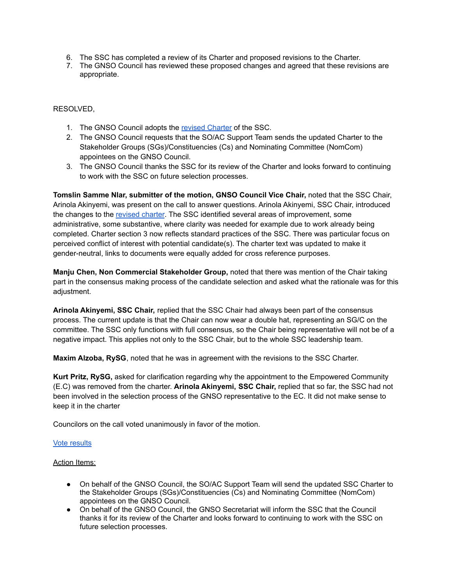- 6. The SSC has completed a review of its Charter and proposed revisions to the Charter.
- 7. The GNSO Council has reviewed these proposed changes and agreed that these revisions are appropriate.

RESOLVED,

- 1. The GNSO Council adopts the revised [Charter](https://community.icann.org/download/attachments/64077773/Standing%20Selection%20Committee%20-%20Charter%20Revision%20-%2028%20April%202022%20%282%29.docx?version=1&modificationDate=1651737623797&api=v2) of the SSC.
- 2. The GNSO Council requests that the SO/AC Support Team sends the updated Charter to the Stakeholder Groups (SGs)/Constituencies (Cs) and Nominating Committee (NomCom) appointees on the GNSO Council.
- 3. The GNSO Council thanks the SSC for its review of the Charter and looks forward to continuing to work with the SSC on future selection processes.

**Tomslin Samme Nlar, submitter of the motion, GNSO Council Vice Chair,** noted that the SSC Chair, Arinola Akinyemi, was present on the call to answer questions. Arinola Akinyemi, SSC Chair, introduced the changes to the [revised](https://gnso.icann.org/sites/default/files/policy/2022/correspondence/samme-nlar-to-gnso-council-06may22-en.pdf) charter. The SSC identified several areas of improvement, some administrative, some substantive, where clarity was needed for example due to work already being completed. Charter section 3 now reflects standard practices of the SSC. There was particular focus on perceived conflict of interest with potential candidate(s). The charter text was updated to make it gender-neutral, links to documents were equally added for cross reference purposes.

**Manju Chen, Non Commercial Stakeholder Group,** noted that there was mention of the Chair taking part in the consensus making process of the candidate selection and asked what the rationale was for this adjustment.

**Arinola Akinyemi, SSC Chair,** replied that the SSC Chair had always been part of the consensus process. The current update is that the Chair can now wear a double hat, representing an SG/C on the committee. The SSC only functions with full consensus, so the Chair being representative will not be of a negative impact. This applies not only to the SSC Chair, but to the whole SSC leadership team.

**Maxim Alzoba, RySG**, noted that he was in agreement with the revisions to the SSC Charter.

**Kurt Pritz, RySG,** asked for clarification regarding why the appointment to the Empowered Community (E.C) was removed from the charter. **Arinola Akinyemi, SSC Chair,** replied that so far, the SSC had not been involved in the selection process of the GNSO representative to the EC. It did not make sense to keep it in the charter

Councilors on the call voted unanimously in favor of the motion.

### Vote [results](https://gnso.icann.org/sites/default/files/policy/2022/vote-result/gnso-council-motion-recorder-19may22-en.pdf)

### Action Items:

- On behalf of the GNSO Council, the SO/AC Support Team will send the updated SSC Charter to the Stakeholder Groups (SGs)/Constituencies (Cs) and Nominating Committee (NomCom) appointees on the GNSO Council.
- On behalf of the GNSO Council, the GNSO Secretariat will inform the SSC that the Council thanks it for its review of the Charter and looks forward to continuing to work with the SSC on future selection processes.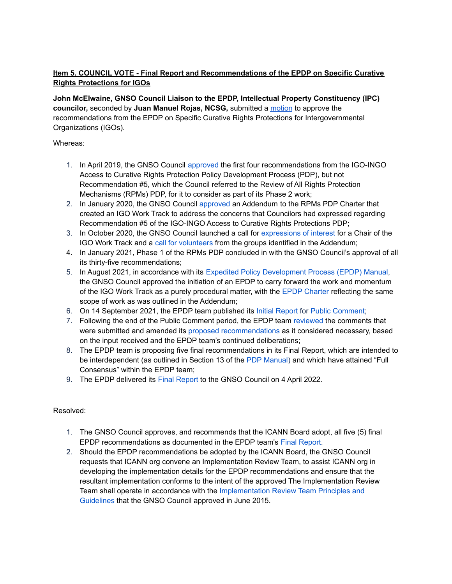# **Item 5. COUNCIL VOTE - Final Report and Recommendations of the EPDP on Specific Curative Rights Protections for IGOs**

**John McElwaine, GNSO Council Liaison to the EPDP, Intellectual Property Constituency (IPC) councilor,** seconded by **Juan Manuel Rojas, NCSG,** submitted a [motion](https://community.icann.org/display/gnsocouncilmeetings/Motions+2022-05-19) to approve the recommendations from the EPDP on Specific Curative Rights Protections for Intergovernmental Organizations (IGOs).

# Whereas:

- 1. In April 2019, the GNSO Council [approved](https://gnso.icann.org/en/council/resolutions#201905) the first four recommendations from the IGO-INGO Access to Curative Rights Protection Policy Development Process (PDP), but not Recommendation #5, which the Council referred to the Review of All Rights Protection Mechanisms (RPMs) PDP, for it to consider as part of its Phase 2 work;
- 2. In January 2020, the GNSO Council [approved](https://gnso.icann.org/en/council/resolutions/2020-current#20200123-2) an Addendum to the RPMs PDP Charter that created an IGO Work Track to address the concerns that Councilors had expressed regarding Recommendation #5 of the IGO-INGO Access to Curative Rights Protections PDP;
- 3. In October 2020, the GNSO Council launched a call for [expressions](https://www.icann.org/en/system/files/files/eoi-igo-work-track-chair-26oct20-en.pdf) of interest for a Chair of the IGO Work Track and a call for [volunteers](https://gnso.icann.org/sites/default/files/file/field-file-attach/igo-work-track-call-volunteers-27oct20-en.pdf) from the groups identified in the Addendum;
- 4. In January 2021, Phase 1 of the RPMs PDP concluded in with the GNSO Council's approval of all its thirty-five recommendations;
- 5. In August 2021, in accordance with its Expedited Policy [Development](https://gnso.icann.org/en/council/annex-4-epdp-manual-24oct19-en.pdf) Process (EPDP) Manual, the GNSO Council approved the initiation of an EPDP to carry forward the work and momentum of the IGO Work Track as a purely procedural matter, with the EPDP [Charter](https://gnso.icann.org/sites/default/files/file/field-file-attach/specific-crp-igo-epdp-charter-16aug21-en.pdf) reflecting the same scope of work as was outlined in the Addendum;
- 6. On 14 September 2021, the EPDP team published its Initial [Report](https://gnso.icann.org/en/issues/specific-crp-igo-epdp-initial-report-preliminary-recommendations-14sep21-en.pdf) for Public [Comment](https://www.icann.org/en/public-comment/proceeding/initial-report-epdp-specific-curative-rights-protections-igos-14-09-2021);
- 7. Following the end of the Public Comment period, the EPDP team [reviewed](https://community.icann.org/x/PASlCg) the comments that were submitted and amended its proposed [recommendations](https://community.icann.org/x/PwG7Cg) as it considered necessary, based on the input received and the EPDP team's continued deliberations;
- 8. The EPDP team is proposing five final recommendations in its Final Report, which are intended to be interdependent (as outlined in Section 13 of the PDP [Manual](https://gnso.icann.org/sites/default/files/file/field-file-attach/specific-crp-igo-epdp-charter-16aug21-en.pdf)) and which have attained "Full Consensus" within the EPDP team;
- 9. The EPDP delivered its Final [Report](https://gnso.icann.org/en/issues/epdp-specific-crp-igo-final-report-02apr22-en.pdf) to the GNSO Council on 4 April 2022.

# Resolved:

- 1. The GNSO Council approves, and recommends that the ICANN Board adopt, all five (5) final EPDP recommendations as documented in the EPDP team's Final [Report.](https://gnso.icann.org/en/issues/epdp-specific-crp-igo-final-report-02apr22-en.pdf)
- 2. Should the EPDP recommendations be adopted by the ICANN Board, the GNSO Council requests that ICANN org convene an Implementation Review Team, to assist ICANN org in developing the implementation details for the EPDP recommendations and ensure that the resultant implementation conforms to the intent of the approved The Implementation Review Team shall operate in accordance with the [Implementation](https://gnso.icann.org/sites/default/files/file/field-file-attach/2016-12/irt-principles-guidelines-23aug16-en.pdf) Review Team Principles and [Guidelines](https://gnso.icann.org/sites/default/files/file/field-file-attach/2016-12/irt-principles-guidelines-23aug16-en.pdf) that the GNSO Council approved in June 2015.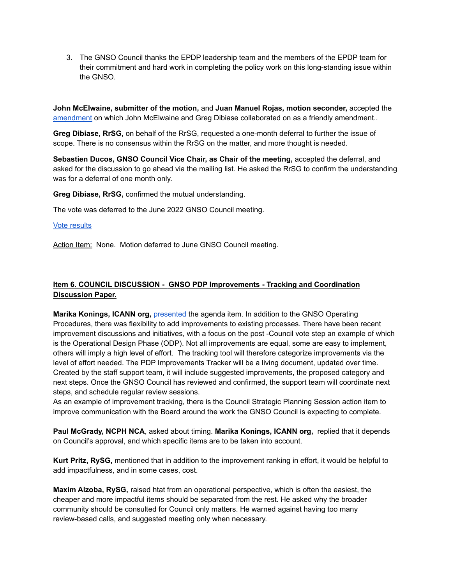3. The GNSO Council thanks the EPDP leadership team and the members of the EPDP team for their commitment and hard work in completing the policy work on this long-standing issue within the GNSO.

**John McElwaine, submitter of the motion,** and **Juan Manuel Rojas, motion seconder,** accepted the [amendment](https://mm.icann.org/pipermail/council/2022-May/025677.html) on which John McElwaine and Greg Dibiase collaborated on as a friendly amendment..

**Greg Dibiase, RrSG,** on behalf of the RrSG, requested a one-month deferral to further the issue of scope. There is no consensus within the RrSG on the matter, and more thought is needed.

**Sebastien Ducos, GNSO Council Vice Chair, as Chair of the meeting,** accepted the deferral, and asked for the discussion to go ahead via the mailing list. He asked the RrSG to confirm the understanding was for a deferral of one month only.

**Greg Dibiase, RrSG,** confirmed the mutual understanding.

The vote was deferred to the June 2022 GNSO Council meeting.

#### Vote [results](https://gnso.icann.org/sites/default/files/policy/2022/vote-result/gnso-council-motion-recorder-19may22-en.pdf)

Action Item: None. Motion deferred to June GNSO Council meeting.

# **Item 6. COUNCIL DISCUSSION - GNSO PDP Improvements - Tracking and Coordination Discussion Paper.**

**Marika Konings, ICANN org,** [presented](https://gnso.icann.org/sites/default/files/policy/2022/presentation/gnso-pdp-improvements-tracking-and-coordination-discussion-paper-19may22-en.pdf) the agenda item. In addition to the GNSO Operating Procedures, there was flexibility to add improvements to existing processes. There have been recent improvement discussions and initiatives, with a focus on the post -Council vote step an example of which is the Operational Design Phase (ODP). Not all improvements are equal, some are easy to implement, others will imply a high level of effort. The tracking tool will therefore categorize improvements via the level of effort needed. The PDP Improvements Tracker will be a living document, updated over time. Created by the staff support team, it will include suggested improvements, the proposed category and next steps. Once the GNSO Council has reviewed and confirmed, the support team will coordinate next steps, and schedule regular review sessions.

As an example of improvement tracking, there is the Council Strategic Planning Session action item to improve communication with the Board around the work the GNSO Council is expecting to complete.

**Paul McGrady, NCPH NCA**, asked about timing. **Marika Konings, ICANN org,** replied that it depends on Council's approval, and which specific items are to be taken into account.

**Kurt Pritz, RySG,** mentioned that in addition to the improvement ranking in effort, it would be helpful to add impactfulness, and in some cases, cost.

**Maxim Alzoba, RySG,** raised htat from an operational perspective, which is often the easiest, the cheaper and more impactful items should be separated from the rest. He asked why the broader community should be consulted for Council only matters. He warned against having too many review-based calls, and suggested meeting only when necessary.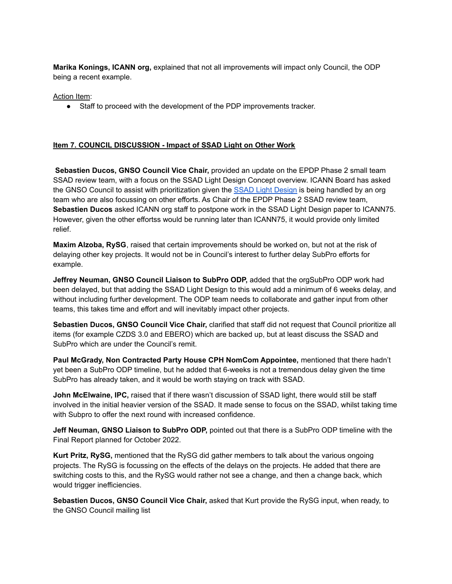**Marika Konings, ICANN org,** explained that not all improvements will impact only Council, the ODP being a recent example.

Action Item:

● Staff to proceed with the development of the PDP improvements tracker.

# **Item 7. COUNCIL DISCUSSION - Impact of SSAD Light on Other Work**

**Sebastien Ducos, GNSO Council Vice Chair,** provided an update on the EPDP Phase 2 small team SSAD review team, with a focus on the SSAD Light Design Concept overview. ICANN Board has asked the GNSO Council to assist with prioritization given the SSAD Light [Design](https://mm.icann.org/pipermail/gnso-epdpp2-smallteam/attachments/20220406/b1df8d0f/SSADLightConceptNote-0001.docx) is being handled by an org team who are also focussing on other efforts. As Chair of the EPDP Phase 2 SSAD review team, **Sebastien Ducos** asked ICANN org staff to postpone work in the SSAD Light Design paper to ICANN75. However, given the other effortss would be running later than ICANN75, it would provide only limited relief.

**Maxim Alzoba, RySG**, raised that certain improvements should be worked on, but not at the risk of delaying other key projects. It would not be in Council's interest to further delay SubPro efforts for example.

**Jeffrey Neuman, GNSO Council Liaison to SubPro ODP,** added that the orgSubPro ODP work had been delayed, but that adding the SSAD Light Design to this would add a minimum of 6 weeks delay, and without including further development. The ODP team needs to collaborate and gather input from other teams, this takes time and effort and will inevitably impact other projects.

**Sebastien Ducos, GNSO Council Vice Chair,** clarified that staff did not request that Council prioritize all items (for example CZDS 3.0 and EBERO) which are backed up, but at least discuss the SSAD and SubPro which are under the Council's remit.

**Paul McGrady, Non Contracted Party House CPH NomCom Appointee,** mentioned that there hadn't yet been a SubPro ODP timeline, but he added that 6-weeks is not a tremendous delay given the time SubPro has already taken, and it would be worth staying on track with SSAD.

**John McElwaine, IPC,** raised that if there wasn't discussion of SSAD light, there would still be staff involved in the initial heavier version of the SSAD. It made sense to focus on the SSAD, whilst taking time with Subpro to offer the next round with increased confidence.

**Jeff Neuman, GNSO Liaison to SubPro ODP,** pointed out that there is a SubPro ODP timeline with the Final Report planned for October 2022.

**Kurt Pritz, RySG,** mentioned that the RySG did gather members to talk about the various ongoing projects. The RySG is focussing on the effects of the delays on the projects. He added that there are switching costs to this, and the RySG would rather not see a change, and then a change back, which would trigger inefficiencies.

**Sebastien Ducos, GNSO Council Vice Chair,** asked that Kurt provide the RySG input, when ready, to the GNSO Council mailing list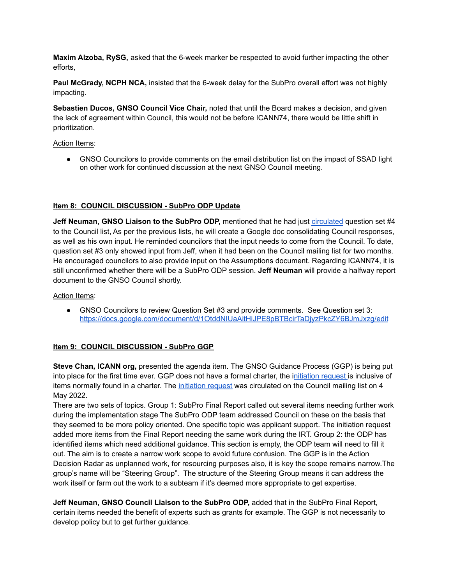**Maxim Alzoba, RySG,** asked that the 6-week marker be respected to avoid further impacting the other efforts,

**Paul McGrady, NCPH NCA,** insisted that the 6-week delay for the SubPro overall effort was not highly impacting.

**Sebastien Ducos, GNSO Council Vice Chair,** noted that until the Board makes a decision, and given the lack of agreement within Council, this would not be before ICANN74, there would be little shift in prioritization.

## Action Items:

● GNSO Councilors to provide comments on the email distribution list on the impact of SSAD light on other work for continued discussion at the next GNSO Council meeting.

# **Item 8: COUNCIL DISCUSSION - SubPro ODP Update**

**Jeff Neuman, GNSO Liaison to the SubPro ODP,** mentioned that he had just [circulated](https://mm.icann.org/pipermail/council/2022-May/025688.html) question set #4 to the Council list, As per the previous lists, he will create a Google doc consolidating Council responses, as well as his own input. He reminded councilors that the input needs to come from the Council. To date, question set #3 only showed input from Jeff, when it had been on the Council mailing list for two months. He encouraged councilors to also provide input on the Assumptions document. Regarding ICANN74, it is still unconfirmed whether there will be a SubPro ODP session. **Jeff Neuman** will provide a halfway report document to the GNSO Council shortly.

Action Items:

● GNSO Councilors to review Question Set #3 and provide comments. See Question set 3: <https://docs.google.com/document/d/1OtddNIUaAitHiJPE8pBTBcirTaDjyzPkcZY6BJmJxzg/edit>

# **Item 9: COUNCIL DISCUSSION - SubPro GGP**

**Steve Chan, ICANN org,** presented the agenda item. The GNSO Guidance Process (GGP) is being put into place for the first time ever. GGP does not have a formal charter, the i[nitiation](https://gnso.icann.org/sites/default/files/policy/2022/draft/draft-subpro-ggp-initiation-request-04may22-en.pdf) request is inclusive of items normally found in a charter. The [initiation](https://gnso.icann.org/sites/default/files/policy/2022/draft/draft-subpro-ggp-initiation-request-04may22-en.pdf) request was circulated on the Council mailing list on 4 May 2022.

There are two sets of topics. Group 1: SubPro Final Report called out several items needing further work during the implementation stage The SubPro ODP team addressed Council on these on the basis that they seemed to be more policy oriented. One specific topic was applicant support. The initiation request added more items from the Final Report needing the same work during the IRT. Group 2: the ODP has identified items which need additional guidance. This section is empty, the ODP team will need to fill it out. The aim is to create a narrow work scope to avoid future confusion. The GGP is in the Action Decision Radar as unplanned work, for resourcing purposes also, it is key the scope remains narrow.The group's name will be "Steering Group". The structure of the Steering Group means it can address the work itself or farm out the work to a subteam if it's deemed more appropriate to get expertise.

**Jeff Neuman, GNSO Council Liaison to the SubPro ODP,** added that in the SubPro Final Report, certain items needed the benefit of experts such as grants for example. The GGP is not necessarily to develop policy but to get further guidance.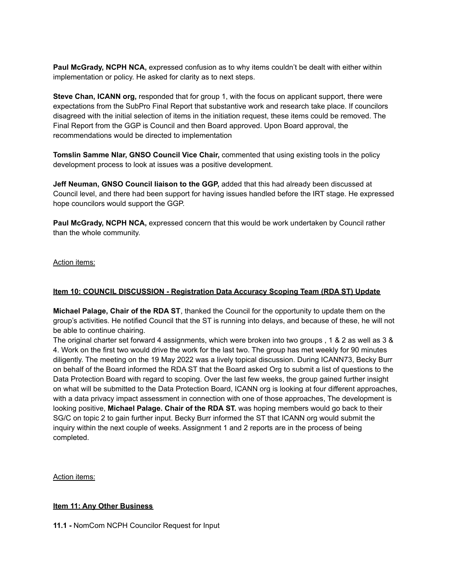**Paul McGrady, NCPH NCA,** expressed confusion as to why items couldn't be dealt with either within implementation or policy. He asked for clarity as to next steps.

**Steve Chan, ICANN org,** responded that for group 1, with the focus on applicant support, there were expectations from the SubPro Final Report that substantive work and research take place. If councilors disagreed with the initial selection of items in the initiation request, these items could be removed. The Final Report from the GGP is Council and then Board approved. Upon Board approval, the recommendations would be directed to implementation

**Tomslin Samme Nlar, GNSO Council Vice Chair,** commented that using existing tools in the policy development process to look at issues was a positive development.

**Jeff Neuman, GNSO Council liaison to the GGP,** added that this had already been discussed at Council level, and there had been support for having issues handled before the IRT stage. He expressed hope councilors would support the GGP.

**Paul McGrady, NCPH NCA,** expressed concern that this would be work undertaken by Council rather than the whole community.

## Action items:

## **Item 10: COUNCIL DISCUSSION - Registration Data Accuracy Scoping Team (RDA ST) Update**

**Michael Palage, Chair of the RDA ST**, thanked the Council for the opportunity to update them on the group's activities. He notified Council that the ST is running into delays, and because of these, he will not be able to continue chairing.

The original charter set forward 4 assignments, which were broken into two groups , 1 & 2 as well as 3 & 4. Work on the first two would drive the work for the last two. The group has met weekly for 90 minutes diligently. The meeting on the 19 May 2022 was a lively topical discussion. During ICANN73, Becky Burr on behalf of the Board informed the RDA ST that the Board asked Org to submit a list of questions to the Data Protection Board with regard to scoping. Over the last few weeks, the group gained further insight on what will be submitted to the Data Protection Board, ICANN org is looking at four different approaches, with a data privacy impact assessment in connection with one of those approaches, The development is looking positive, **Michael Palage. Chair of the RDA ST.** was hoping members would go back to their SG/C on topic 2 to gain further input. Becky Burr informed the ST that ICANN org would submit the inquiry within the next couple of weeks. Assignment 1 and 2 reports are in the process of being completed.

Action items:

### **Item 11: Any Other Business**

**11.1 -** NomCom NCPH Councilor Request for Input